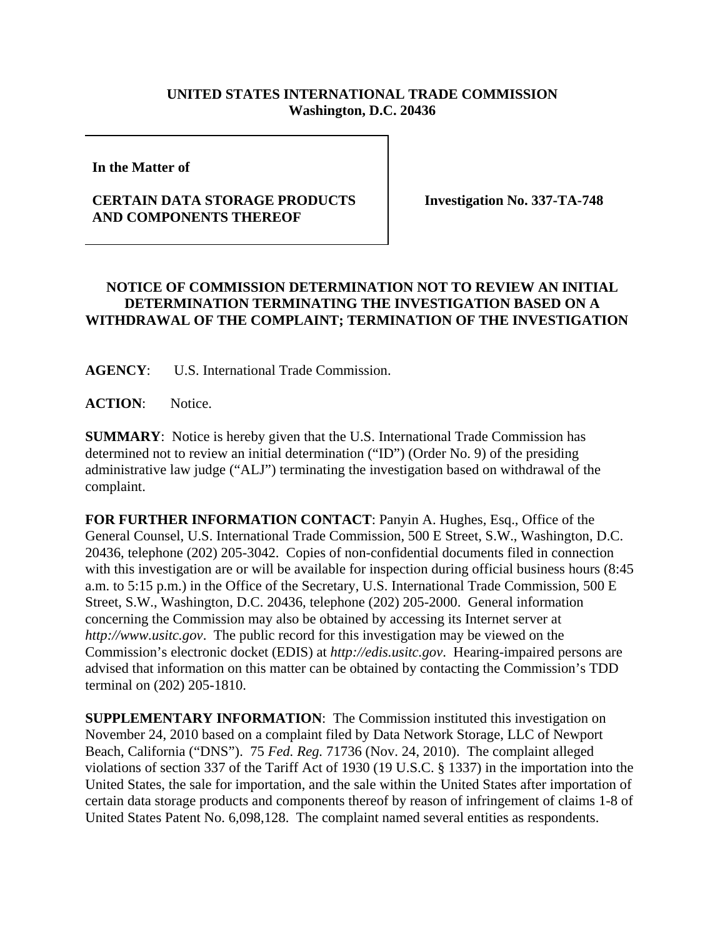## **UNITED STATES INTERNATIONAL TRADE COMMISSION Washington, D.C. 20436**

**In the Matter of** 

## **CERTAIN DATA STORAGE PRODUCTS AND COMPONENTS THEREOF**

**Investigation No. 337-TA-748**

## **NOTICE OF COMMISSION DETERMINATION NOT TO REVIEW AN INITIAL DETERMINATION TERMINATING THE INVESTIGATION BASED ON A WITHDRAWAL OF THE COMPLAINT; TERMINATION OF THE INVESTIGATION**

**AGENCY**: U.S. International Trade Commission.

**ACTION**: Notice.

**SUMMARY**: Notice is hereby given that the U.S. International Trade Commission has determined not to review an initial determination ("ID") (Order No. 9) of the presiding administrative law judge ("ALJ") terminating the investigation based on withdrawal of the complaint.

**FOR FURTHER INFORMATION CONTACT**: Panyin A. Hughes, Esq., Office of the General Counsel, U.S. International Trade Commission, 500 E Street, S.W., Washington, D.C. 20436, telephone (202) 205-3042. Copies of non-confidential documents filed in connection with this investigation are or will be available for inspection during official business hours (8:45 a.m. to 5:15 p.m.) in the Office of the Secretary, U.S. International Trade Commission, 500 E Street, S.W., Washington, D.C. 20436, telephone (202) 205-2000. General information concerning the Commission may also be obtained by accessing its Internet server at *http://www.usitc.gov*. The public record for this investigation may be viewed on the Commission's electronic docket (EDIS) at *http://edis.usitc.gov*. Hearing-impaired persons are advised that information on this matter can be obtained by contacting the Commission's TDD terminal on (202) 205-1810.

**SUPPLEMENTARY INFORMATION:** The Commission instituted this investigation on November 24, 2010 based on a complaint filed by Data Network Storage, LLC of Newport Beach, California ("DNS"). 75 *Fed. Reg.* 71736 (Nov. 24, 2010). The complaint alleged violations of section 337 of the Tariff Act of 1930 (19 U.S.C. § 1337) in the importation into the United States, the sale for importation, and the sale within the United States after importation of certain data storage products and components thereof by reason of infringement of claims 1-8 of United States Patent No. 6,098,128. The complaint named several entities as respondents.